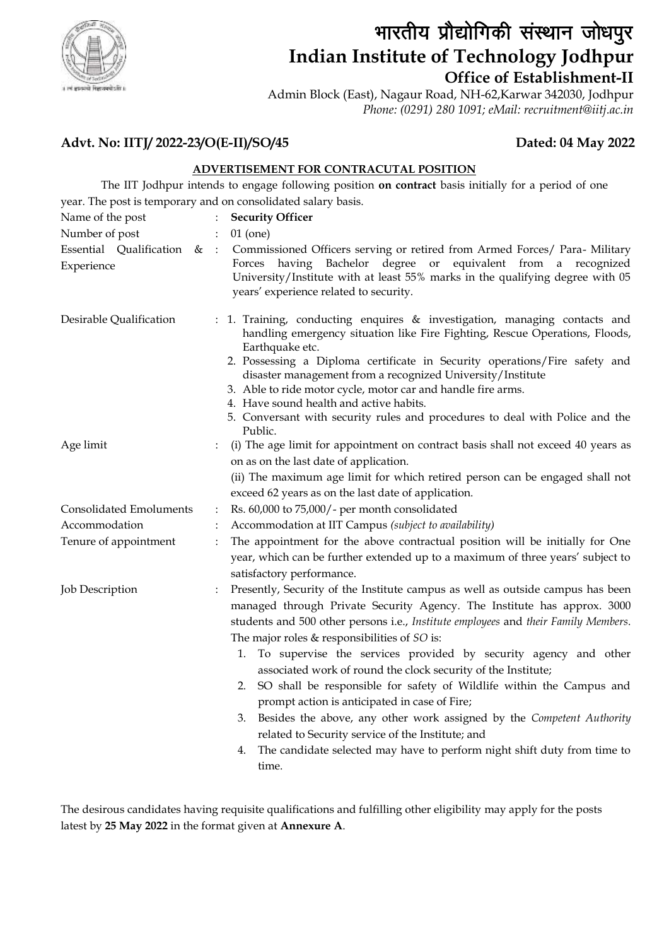

# भारतीय प्रौद्योगिकी संस्थान जोधपुर **Indian Institute of Technology Jodhpur Office of Establishment-II**

Admin Block (East), Nagaur Road, NH-62,Karwar 342030, Jodhpur *Phone: (0291) 280 1091; eMail: recruitment@iitj.ac.in*

# **Advt. No: IITJ/ 2022-23/O(E-II)/SO/45 Dated: 04 May 2022**

### **ADVERTISEMENT FOR CONTRACUTAL POSITION**

 The IIT Jodhpur intends to engage following position **on contract** basis initially for a period of one year. The post is temporary and on consolidated salary basis.

| Name of the post                        | $\ddot{\cdot}$ | <b>Security Officer</b>                                                                                                                                                                                                                                                                                                                                                                                                                                                                                                                                                                                                                                                                                                                                                                                     |
|-----------------------------------------|----------------|-------------------------------------------------------------------------------------------------------------------------------------------------------------------------------------------------------------------------------------------------------------------------------------------------------------------------------------------------------------------------------------------------------------------------------------------------------------------------------------------------------------------------------------------------------------------------------------------------------------------------------------------------------------------------------------------------------------------------------------------------------------------------------------------------------------|
| Number of post                          | $\ddot{\cdot}$ | $01$ (one)                                                                                                                                                                                                                                                                                                                                                                                                                                                                                                                                                                                                                                                                                                                                                                                                  |
| Essential Qualification &<br>Experience | $\cdot$ :      | Commissioned Officers serving or retired from Armed Forces/ Para- Military<br>Forces having Bachelor degree or equivalent from a recognized<br>University/Institute with at least 55% marks in the qualifying degree with 05<br>years' experience related to security.                                                                                                                                                                                                                                                                                                                                                                                                                                                                                                                                      |
| Desirable Qualification                 | $\ddot{\cdot}$ | 1. Training, conducting enquires & investigation, managing contacts and<br>handling emergency situation like Fire Fighting, Rescue Operations, Floods,<br>Earthquake etc.<br>2. Possessing a Diploma certificate in Security operations/Fire safety and<br>disaster management from a recognized University/Institute<br>3. Able to ride motor cycle, motor car and handle fire arms.<br>4. Have sound health and active habits.<br>5. Conversant with security rules and procedures to deal with Police and the<br>Public.                                                                                                                                                                                                                                                                                 |
| Age limit                               |                | (i) The age limit for appointment on contract basis shall not exceed 40 years as<br>on as on the last date of application.<br>(ii) The maximum age limit for which retired person can be engaged shall not<br>exceed 62 years as on the last date of application.                                                                                                                                                                                                                                                                                                                                                                                                                                                                                                                                           |
| Consolidated Emoluments                 |                | Rs. 60,000 to 75,000/- per month consolidated                                                                                                                                                                                                                                                                                                                                                                                                                                                                                                                                                                                                                                                                                                                                                               |
| Accommodation                           | $\ddot{\cdot}$ |                                                                                                                                                                                                                                                                                                                                                                                                                                                                                                                                                                                                                                                                                                                                                                                                             |
|                                         | :              | Accommodation at IIT Campus (subject to availability)                                                                                                                                                                                                                                                                                                                                                                                                                                                                                                                                                                                                                                                                                                                                                       |
| Tenure of appointment                   | $\ddot{\cdot}$ | The appointment for the above contractual position will be initially for One<br>year, which can be further extended up to a maximum of three years' subject to<br>satisfactory performance.                                                                                                                                                                                                                                                                                                                                                                                                                                                                                                                                                                                                                 |
| <b>Job Description</b>                  |                | Presently, Security of the Institute campus as well as outside campus has been<br>managed through Private Security Agency. The Institute has approx. 3000<br>students and 500 other persons i.e., Institute employees and their Family Members.<br>The major roles $&$ responsibilities of $SO$ is:<br>To supervise the services provided by security agency and other<br>1.<br>associated work of round the clock security of the Institute;<br>SO shall be responsible for safety of Wildlife within the Campus and<br>2.<br>prompt action is anticipated in case of Fire;<br>Besides the above, any other work assigned by the Competent Authority<br>3.<br>related to Security service of the Institute; and<br>The candidate selected may have to perform night shift duty from time to<br>4.<br>time. |

The desirous candidates having requisite qualifications and fulfilling other eligibility may apply for the posts latest by **25 May 2022** in the format given at **Annexure A**.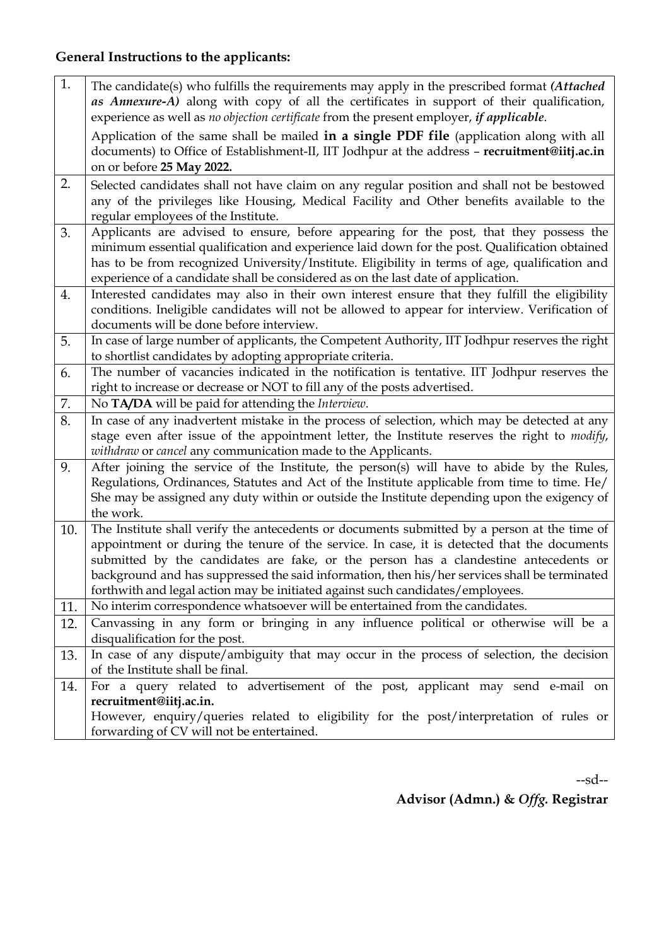# **General Instructions to the applicants:**

| Application of the same shall be mailed in a single PDF file (application along with all<br>documents) to Office of Establishment-II, IIT Jodhpur at the address - recruitment@iitj.ac.in<br>on or before 25 May 2022.<br>2.<br>Selected candidates shall not have claim on any regular position and shall not be bestowed<br>any of the privileges like Housing, Medical Facility and Other benefits available to the<br>regular employees of the Institute.<br>Applicants are advised to ensure, before appearing for the post, that they possess the<br>3.<br>minimum essential qualification and experience laid down for the post. Qualification obtained<br>has to be from recognized University/Institute. Eligibility in terms of age, qualification and<br>experience of a candidate shall be considered as on the last date of application.<br>Interested candidates may also in their own interest ensure that they fulfill the eligibility<br>4.<br>conditions. Ineligible candidates will not be allowed to appear for interview. Verification of<br>documents will be done before interview.<br>In case of large number of applicants, the Competent Authority, IIT Jodhpur reserves the right<br>5.<br>to shortlist candidates by adopting appropriate criteria.<br>The number of vacancies indicated in the notification is tentative. IIT Jodhpur reserves the<br>6.<br>right to increase or decrease or NOT to fill any of the posts advertised.<br>7.<br>No TA/DA will be paid for attending the Interview.<br>8.<br>In case of any inadvertent mistake in the process of selection, which may be detected at any<br>stage even after issue of the appointment letter, the Institute reserves the right to <i>modify</i> ,<br>withdraw or cancel any communication made to the Applicants.<br>After joining the service of the Institute, the person(s) will have to abide by the Rules,<br>9.<br>Regulations, Ordinances, Statutes and Act of the Institute applicable from time to time. He/<br>She may be assigned any duty within or outside the Institute depending upon the exigency of<br>the work.<br>The Institute shall verify the antecedents or documents submitted by a person at the time of<br>10.<br>appointment or during the tenure of the service. In case, it is detected that the documents<br>submitted by the candidates are fake, or the person has a clandestine antecedents or<br>background and has suppressed the said information, then his/her services shall be terminated<br>forthwith and legal action may be initiated against such candidates/employees.<br>No interim correspondence whatsoever will be entertained from the candidates.<br>11.<br>Canvassing in any form or bringing in any influence political or otherwise will be a<br>12.<br>disqualification for the post.<br>In case of any dispute/ambiguity that may occur in the process of selection, the decision<br>13.<br>of the Institute shall be final.<br>14.<br>recruitment@iitj.ac.in.<br>However, enquiry/queries related to eligibility for the post/interpretation of rules or<br>forwarding of CV will not be entertained. | 1. | The candidate(s) who fulfills the requirements may apply in the prescribed format (Attached<br>as Annexure-A) along with copy of all the certificates in support of their qualification,<br>experience as well as no objection certificate from the present employer, if applicable. |
|-----------------------------------------------------------------------------------------------------------------------------------------------------------------------------------------------------------------------------------------------------------------------------------------------------------------------------------------------------------------------------------------------------------------------------------------------------------------------------------------------------------------------------------------------------------------------------------------------------------------------------------------------------------------------------------------------------------------------------------------------------------------------------------------------------------------------------------------------------------------------------------------------------------------------------------------------------------------------------------------------------------------------------------------------------------------------------------------------------------------------------------------------------------------------------------------------------------------------------------------------------------------------------------------------------------------------------------------------------------------------------------------------------------------------------------------------------------------------------------------------------------------------------------------------------------------------------------------------------------------------------------------------------------------------------------------------------------------------------------------------------------------------------------------------------------------------------------------------------------------------------------------------------------------------------------------------------------------------------------------------------------------------------------------------------------------------------------------------------------------------------------------------------------------------------------------------------------------------------------------------------------------------------------------------------------------------------------------------------------------------------------------------------------------------------------------------------------------------------------------------------------------------------------------------------------------------------------------------------------------------------------------------------------------------------------------------------------------------------------------------------------------------------------------------------------------------------------------------------------------------------------------------------------------------------------------------------------------------------------------------------------------------------------------------------------------------------------------------------------------------------------------------------------|----|--------------------------------------------------------------------------------------------------------------------------------------------------------------------------------------------------------------------------------------------------------------------------------------|
|                                                                                                                                                                                                                                                                                                                                                                                                                                                                                                                                                                                                                                                                                                                                                                                                                                                                                                                                                                                                                                                                                                                                                                                                                                                                                                                                                                                                                                                                                                                                                                                                                                                                                                                                                                                                                                                                                                                                                                                                                                                                                                                                                                                                                                                                                                                                                                                                                                                                                                                                                                                                                                                                                                                                                                                                                                                                                                                                                                                                                                                                                                                                                           |    |                                                                                                                                                                                                                                                                                      |
|                                                                                                                                                                                                                                                                                                                                                                                                                                                                                                                                                                                                                                                                                                                                                                                                                                                                                                                                                                                                                                                                                                                                                                                                                                                                                                                                                                                                                                                                                                                                                                                                                                                                                                                                                                                                                                                                                                                                                                                                                                                                                                                                                                                                                                                                                                                                                                                                                                                                                                                                                                                                                                                                                                                                                                                                                                                                                                                                                                                                                                                                                                                                                           |    |                                                                                                                                                                                                                                                                                      |
|                                                                                                                                                                                                                                                                                                                                                                                                                                                                                                                                                                                                                                                                                                                                                                                                                                                                                                                                                                                                                                                                                                                                                                                                                                                                                                                                                                                                                                                                                                                                                                                                                                                                                                                                                                                                                                                                                                                                                                                                                                                                                                                                                                                                                                                                                                                                                                                                                                                                                                                                                                                                                                                                                                                                                                                                                                                                                                                                                                                                                                                                                                                                                           |    |                                                                                                                                                                                                                                                                                      |
|                                                                                                                                                                                                                                                                                                                                                                                                                                                                                                                                                                                                                                                                                                                                                                                                                                                                                                                                                                                                                                                                                                                                                                                                                                                                                                                                                                                                                                                                                                                                                                                                                                                                                                                                                                                                                                                                                                                                                                                                                                                                                                                                                                                                                                                                                                                                                                                                                                                                                                                                                                                                                                                                                                                                                                                                                                                                                                                                                                                                                                                                                                                                                           |    |                                                                                                                                                                                                                                                                                      |
|                                                                                                                                                                                                                                                                                                                                                                                                                                                                                                                                                                                                                                                                                                                                                                                                                                                                                                                                                                                                                                                                                                                                                                                                                                                                                                                                                                                                                                                                                                                                                                                                                                                                                                                                                                                                                                                                                                                                                                                                                                                                                                                                                                                                                                                                                                                                                                                                                                                                                                                                                                                                                                                                                                                                                                                                                                                                                                                                                                                                                                                                                                                                                           |    |                                                                                                                                                                                                                                                                                      |
|                                                                                                                                                                                                                                                                                                                                                                                                                                                                                                                                                                                                                                                                                                                                                                                                                                                                                                                                                                                                                                                                                                                                                                                                                                                                                                                                                                                                                                                                                                                                                                                                                                                                                                                                                                                                                                                                                                                                                                                                                                                                                                                                                                                                                                                                                                                                                                                                                                                                                                                                                                                                                                                                                                                                                                                                                                                                                                                                                                                                                                                                                                                                                           |    |                                                                                                                                                                                                                                                                                      |
| For a query related to advertisement of the post, applicant may send e-mail on                                                                                                                                                                                                                                                                                                                                                                                                                                                                                                                                                                                                                                                                                                                                                                                                                                                                                                                                                                                                                                                                                                                                                                                                                                                                                                                                                                                                                                                                                                                                                                                                                                                                                                                                                                                                                                                                                                                                                                                                                                                                                                                                                                                                                                                                                                                                                                                                                                                                                                                                                                                                                                                                                                                                                                                                                                                                                                                                                                                                                                                                            |    |                                                                                                                                                                                                                                                                                      |
|                                                                                                                                                                                                                                                                                                                                                                                                                                                                                                                                                                                                                                                                                                                                                                                                                                                                                                                                                                                                                                                                                                                                                                                                                                                                                                                                                                                                                                                                                                                                                                                                                                                                                                                                                                                                                                                                                                                                                                                                                                                                                                                                                                                                                                                                                                                                                                                                                                                                                                                                                                                                                                                                                                                                                                                                                                                                                                                                                                                                                                                                                                                                                           |    |                                                                                                                                                                                                                                                                                      |
|                                                                                                                                                                                                                                                                                                                                                                                                                                                                                                                                                                                                                                                                                                                                                                                                                                                                                                                                                                                                                                                                                                                                                                                                                                                                                                                                                                                                                                                                                                                                                                                                                                                                                                                                                                                                                                                                                                                                                                                                                                                                                                                                                                                                                                                                                                                                                                                                                                                                                                                                                                                                                                                                                                                                                                                                                                                                                                                                                                                                                                                                                                                                                           |    |                                                                                                                                                                                                                                                                                      |
|                                                                                                                                                                                                                                                                                                                                                                                                                                                                                                                                                                                                                                                                                                                                                                                                                                                                                                                                                                                                                                                                                                                                                                                                                                                                                                                                                                                                                                                                                                                                                                                                                                                                                                                                                                                                                                                                                                                                                                                                                                                                                                                                                                                                                                                                                                                                                                                                                                                                                                                                                                                                                                                                                                                                                                                                                                                                                                                                                                                                                                                                                                                                                           |    |                                                                                                                                                                                                                                                                                      |
|                                                                                                                                                                                                                                                                                                                                                                                                                                                                                                                                                                                                                                                                                                                                                                                                                                                                                                                                                                                                                                                                                                                                                                                                                                                                                                                                                                                                                                                                                                                                                                                                                                                                                                                                                                                                                                                                                                                                                                                                                                                                                                                                                                                                                                                                                                                                                                                                                                                                                                                                                                                                                                                                                                                                                                                                                                                                                                                                                                                                                                                                                                                                                           |    |                                                                                                                                                                                                                                                                                      |
|                                                                                                                                                                                                                                                                                                                                                                                                                                                                                                                                                                                                                                                                                                                                                                                                                                                                                                                                                                                                                                                                                                                                                                                                                                                                                                                                                                                                                                                                                                                                                                                                                                                                                                                                                                                                                                                                                                                                                                                                                                                                                                                                                                                                                                                                                                                                                                                                                                                                                                                                                                                                                                                                                                                                                                                                                                                                                                                                                                                                                                                                                                                                                           |    |                                                                                                                                                                                                                                                                                      |
|                                                                                                                                                                                                                                                                                                                                                                                                                                                                                                                                                                                                                                                                                                                                                                                                                                                                                                                                                                                                                                                                                                                                                                                                                                                                                                                                                                                                                                                                                                                                                                                                                                                                                                                                                                                                                                                                                                                                                                                                                                                                                                                                                                                                                                                                                                                                                                                                                                                                                                                                                                                                                                                                                                                                                                                                                                                                                                                                                                                                                                                                                                                                                           |    |                                                                                                                                                                                                                                                                                      |
|                                                                                                                                                                                                                                                                                                                                                                                                                                                                                                                                                                                                                                                                                                                                                                                                                                                                                                                                                                                                                                                                                                                                                                                                                                                                                                                                                                                                                                                                                                                                                                                                                                                                                                                                                                                                                                                                                                                                                                                                                                                                                                                                                                                                                                                                                                                                                                                                                                                                                                                                                                                                                                                                                                                                                                                                                                                                                                                                                                                                                                                                                                                                                           |    |                                                                                                                                                                                                                                                                                      |
|                                                                                                                                                                                                                                                                                                                                                                                                                                                                                                                                                                                                                                                                                                                                                                                                                                                                                                                                                                                                                                                                                                                                                                                                                                                                                                                                                                                                                                                                                                                                                                                                                                                                                                                                                                                                                                                                                                                                                                                                                                                                                                                                                                                                                                                                                                                                                                                                                                                                                                                                                                                                                                                                                                                                                                                                                                                                                                                                                                                                                                                                                                                                                           |    |                                                                                                                                                                                                                                                                                      |
|                                                                                                                                                                                                                                                                                                                                                                                                                                                                                                                                                                                                                                                                                                                                                                                                                                                                                                                                                                                                                                                                                                                                                                                                                                                                                                                                                                                                                                                                                                                                                                                                                                                                                                                                                                                                                                                                                                                                                                                                                                                                                                                                                                                                                                                                                                                                                                                                                                                                                                                                                                                                                                                                                                                                                                                                                                                                                                                                                                                                                                                                                                                                                           |    |                                                                                                                                                                                                                                                                                      |

--sd--

**Advisor (Admn.) &** *Offg.* **Registrar**